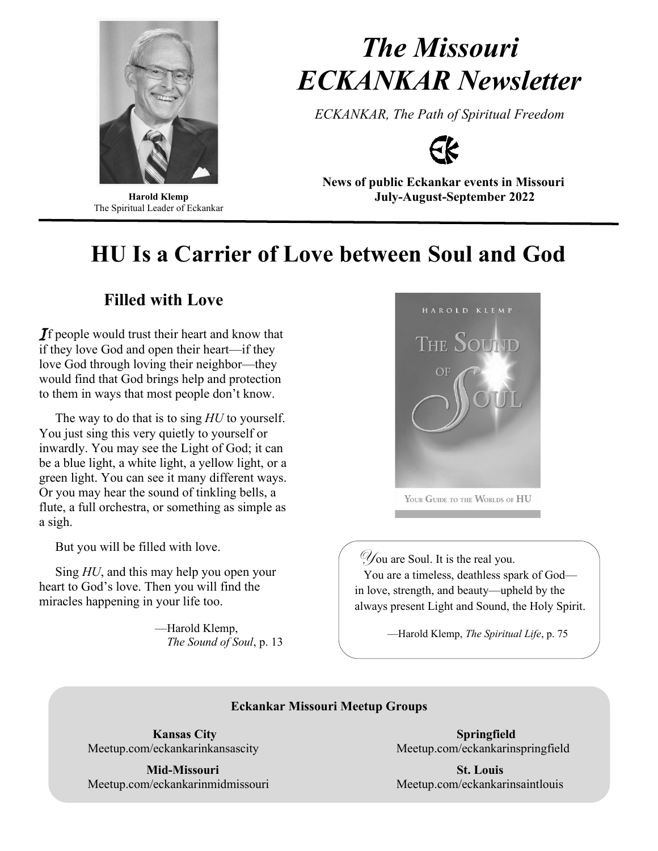

**Harold Klemp** The Spiritual Leader of Eckankar

# *The Missouri ECKANKAR Newsletter*

*ECKANKAR, The Path of Spiritual Freedom*



**News of public Eckankar events in Missouri July-August-September 2022**

# **HU Is a Carrier of Love between Soul and God**

# **Filled with Love**

If people would trust their heart and know that if they love God and open their heart—if they love God through loving their neighbor—they would find that God brings help and protection to them in ways that most people don't know.

 The way to do that is to sing *HU* to yourself. You just sing this very quietly to yourself or inwardly. You may see the Light of God; it can be a blue light, a white light, a yellow light, or a green light. You can see it many different ways. Or you may hear the sound of tinkling bells, a flute, a full orchestra, or something as simple as a sigh.

But you will be filled with love.

 Sing *HU*, and this may help you open your heart to God's love. Then you will find the miracles happening in your life too.

> —Harold Klemp, *The Sound of Soul*, p. 13



 $\mathscr Y$  ou are Soul. It is the real you. You are a timeless, deathless spark of God in love, strength, and beauty—upheld by the always present Light and Sound, the Holy Spirit.

—Harold Klemp, *The Spiritual Life*, p. 75

# **Eckankar Missouri Meetup Groups**

 **Mid-Missouri St. Louis**  Meetup.com/eckankarinmidmissouri Meetup.com/eckankarinsaintlouis

 **Kansas City Springfield** Meetup.com/eckankarinkansascity Meetup.com/eckankarinspringfield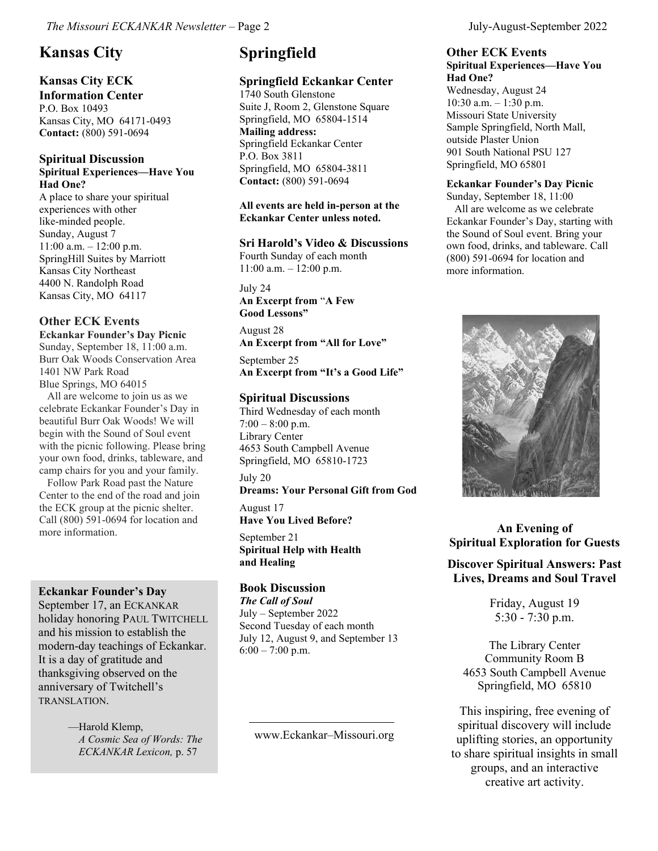# **Kansas City**

# **Kansas City ECK**

**Information Center** P.O. Box 10493 Kansas City, MO 64171-0493 **Contact:** (800) 591-0694

#### **Spiritual Discussion Spiritual Experiences—Have You Had One?**

A place to share your spiritual experiences with other like-minded people. Sunday, August 7  $11:00$  a.m.  $-12:00$  p.m. SpringHill Suites by Marriott Kansas City Northeast 4400 N. Randolph Road Kansas City, MO 64117

# **Other ECK Events**

**Eckankar Founder's Day Picnic** Sunday, September 18, 11:00 a.m. Burr Oak Woods Conservation Area 1401 NW Park Road Blue Springs, MO 64015

 All are welcome to join us as we celebrate Eckankar Founder's Day in beautiful Burr Oak Woods! We will begin with the Sound of Soul event with the picnic following. Please bring your own food, drinks, tableware, and camp chairs for you and your family.

 Follow Park Road past the Nature Center to the end of the road and join the ECK group at the picnic shelter. Call (800) 591-0694 for location and more information.

### **Eckankar Founder's Day**

September 17, an ECKANKAR holiday honoring PAUL TWITCHELL and his mission to establish the modern-day teachings of Eckankar. It is a day of gratitude and thanksgiving observed on the anniversary of Twitchell's TRANSLATION.

> —Harold Klemp, *A Cosmic Sea of Words: The ECKANKAR Lexicon,* p. 57

# **Springfield**

# **Springfield Eckankar Center**

1740 South Glenstone Suite J, Room 2, Glenstone Square Springfield, MO 65804-1514 **Mailing address:**  Springfield Eckankar Center P.O. Box 3811 Springfield, MO 65804-3811 **Contact:** (800) 591-0694

#### **All events are held in-person at the Eckankar Center unless noted.**

### **Sri Harold's Video & Discussions**

Fourth Sunday of each month 11:00 a.m. – 12:00 p.m.

July 24

**An Excerpt from** "**A Few Good Lessons"**

August 28 **An Excerpt from "All for Love"**

September 25 **An Excerpt from "It's a Good Life"**

### **Spiritual Discussions**

Third Wednesday of each month  $7:00 - 8:00$  p.m. Library Center 4653 South Campbell Avenue Springfield, MO 65810-1723

July 20

**Dreams: Your Personal Gift from God**

August 17 **Have You Lived Before?**

September 21 **Spiritual Help with Health and Healing**

### **Book Discussion**

*The Call of Soul* July – September 2022 Second Tuesday of each month July 12, August 9, and September 13 6:00 – 7:00 p.m.

www.Eckankar–Missouri.org

### **Other ECK Events Spiritual Experiences—Have You**

**Had One?** Wednesday, August 24 10:30 a.m. – 1:30 p.m. Missouri State University Sample Springfield, North Mall, outside Plaster Union 901 South National PSU 127 Springfield, MO 65801

### **Eckankar Founder's Day Picnic**

Sunday, September 18, 11:00 All are welcome as we celebrate Eckankar Founder's Day, starting with the Sound of Soul event. Bring your own food, drinks, and tableware. Call (800) 591-0694 for location and more information.



# **An Evening of Spiritual Exploration for Guests**

### **Discover Spiritual Answers: Past Lives, Dreams and Soul Travel**

Friday, August 19 5:30 - 7:30 p.m.

The Library Center Community Room B 4653 South Campbell Avenue Springfield, MO 65810

This inspiring, free evening of spiritual discovery will include uplifting stories, an opportunity to share spiritual insights in small groups, and an interactive creative art activity.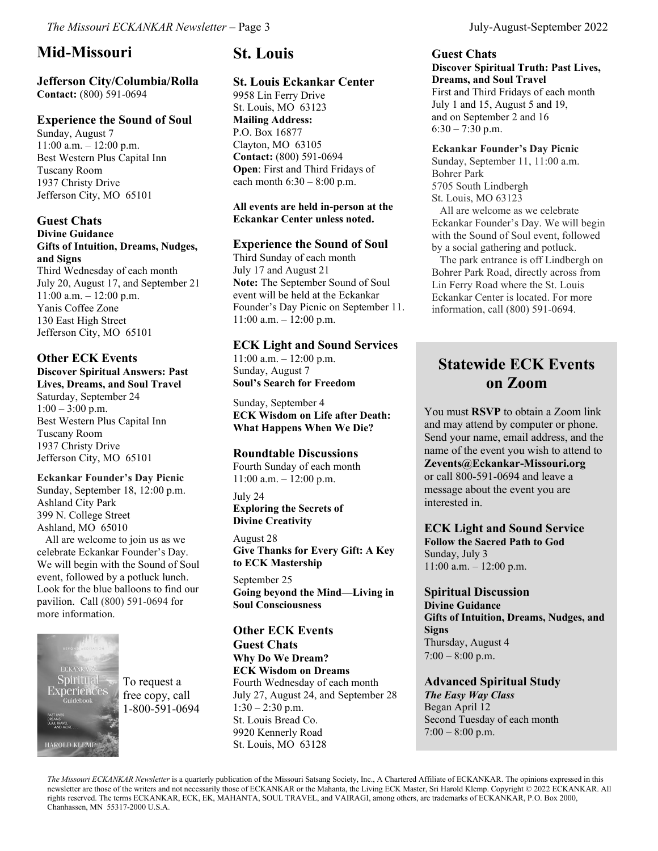# **Mid-Missouri**

**Jefferson City/Columbia/Rolla Contact:** (800) 591-0694

### **Experience the Sound of Soul**

Sunday, August 7 11:00 a.m. – 12:00 p.m. Best Western Plus Capital Inn Tuscany Room 1937 Christy Drive Jefferson City, MO 65101

#### **Guest Chats Divine Guidance Gifts of Intuition, Dreams, Nudges, and Signs**

Third Wednesday of each month July 20, August 17, and September 21 11:00 a.m. – 12:00 p.m. Yanis Coffee Zone 130 East High Street Jefferson City, MO 65101

### **Other ECK Events**

**Discover Spiritual Answers: Past Lives, Dreams, and Soul Travel**

Saturday, September 24  $1:00 - 3:00$  p.m. Best Western Plus Capital Inn Tuscany Room 1937 Christy Drive Jefferson City, MO 65101

### **Eckankar Founder's Day Picnic**

Sunday, September 18, 12:00 p.m. Ashland City Park 399 N. College Street Ashland, MO 65010

 All are welcome to join us as we celebrate Eckankar Founder's Day. We will begin with the Sound of Soul event, followed by a potluck lunch. Look for the blue balloons to find our pavilion. Call (800) 591-0694 for more information.



# **St. Louis**

### **St. Louis Eckankar Center**

9958 Lin Ferry Drive St. Louis, MO 63123 **Mailing Address:** P.O. Box 16877 Clayton, MO 63105 **Contact:** (800) 591-0694 **Open**: First and Third Fridays of each month  $6:30 - 8:00$  p.m.

#### **All events are held in-person at the Eckankar Center unless noted.**

# **Experience the Sound of Soul**

Third Sunday of each month July 17 and August 21 **Note:** The September Sound of Soul event will be held at the Eckankar Founder's Day Picnic on September 11. 11:00 a.m. – 12:00 p.m.

### **ECK Light and Sound Services**

11:00 a.m. – 12:00 p.m. Sunday, August 7 **Soul's Search for Freedom**

Sunday, September 4 **ECK Wisdom on Life after Death: What Happens When We Die?**

### **Roundtable Discussions**

Fourth Sunday of each month 11:00 a.m. – 12:00 p.m.

July 24 **Exploring the Secrets of Divine Creativity** 

August 28 **Give Thanks for Every Gift: A Key to ECK Mastership**

September 25 **Going beyond the Mind—Living in Soul Consciousness**

**Other ECK Events Guest Chats Why Do We Dream? ECK Wisdom on Dreams** Fourth Wednesday of each month July 27, August 24, and September 28  $1:30 - 2:30$  p.m. St. Louis Bread Co. 9920 Kennerly Road St. Louis, MO 63128

#### **Guest Chats Discover Spiritual Truth: Past Lives, Dreams, and Soul Travel**

First and Third Fridays of each month July 1 and 15, August 5 and 19, and on September 2 and 16  $6:30 - 7:30$  p.m.

#### **Eckankar Founder's Day Picnic**

Sunday, September 11, 11:00 a.m. Bohrer Park 5705 South Lindbergh St. Louis, MO 63123

 All are welcome as we celebrate Eckankar Founder's Day. We will begin with the Sound of Soul event, followed by a social gathering and potluck.

 The park entrance is off Lindbergh on Bohrer Park Road, directly across from Lin Ferry Road where the St. Louis Eckankar Center is located. For more information, call (800) 591-0694.

# **Statewide ECK Events on Zoom**

You must **RSVP** to obtain a Zoom link and may attend by computer or phone. Send your name, email address, and the name of the event you wish to attend to **Zevents@Eckankar-Missouri.org**  or call 800-591-0694 and leave a message about the event you are interested in.

### **ECK Light and Sound Service Follow the Sacred Path to God** Sunday, July 3 11:00 a.m. – 12:00 p.m.

**Spiritual Discussion Divine Guidance Gifts of Intuition, Dreams, Nudges, and Signs** Thursday, August 4 7:00 – 8:00 p.m.

**Advanced Spiritual Study** *The Easy Way Class* Began April 12 Second Tuesday of each month  $7:00 - 8:00$  p.m.

*The Missouri ECKANKAR Newsletter* is a quarterly publication of the Missouri Satsang Society, Inc., A Chartered Affiliate of ECKANKAR. The opinions expressed in this newsletter are those of the writers and not necessarily those of ECKANKAR or the Mahanta, the Living ECK Master, Sri Harold Klemp. Copyright © 2022 ECKANKAR. All rights reserved. The terms ECKANKAR, ECK, EK, MAHANTA, SOUL TRAVEL, and VAIRAGI, among others, are trademarks of ECKANKAR, P.O. Box 2000, Chanhassen, MN 55317-2000 U.S.A.